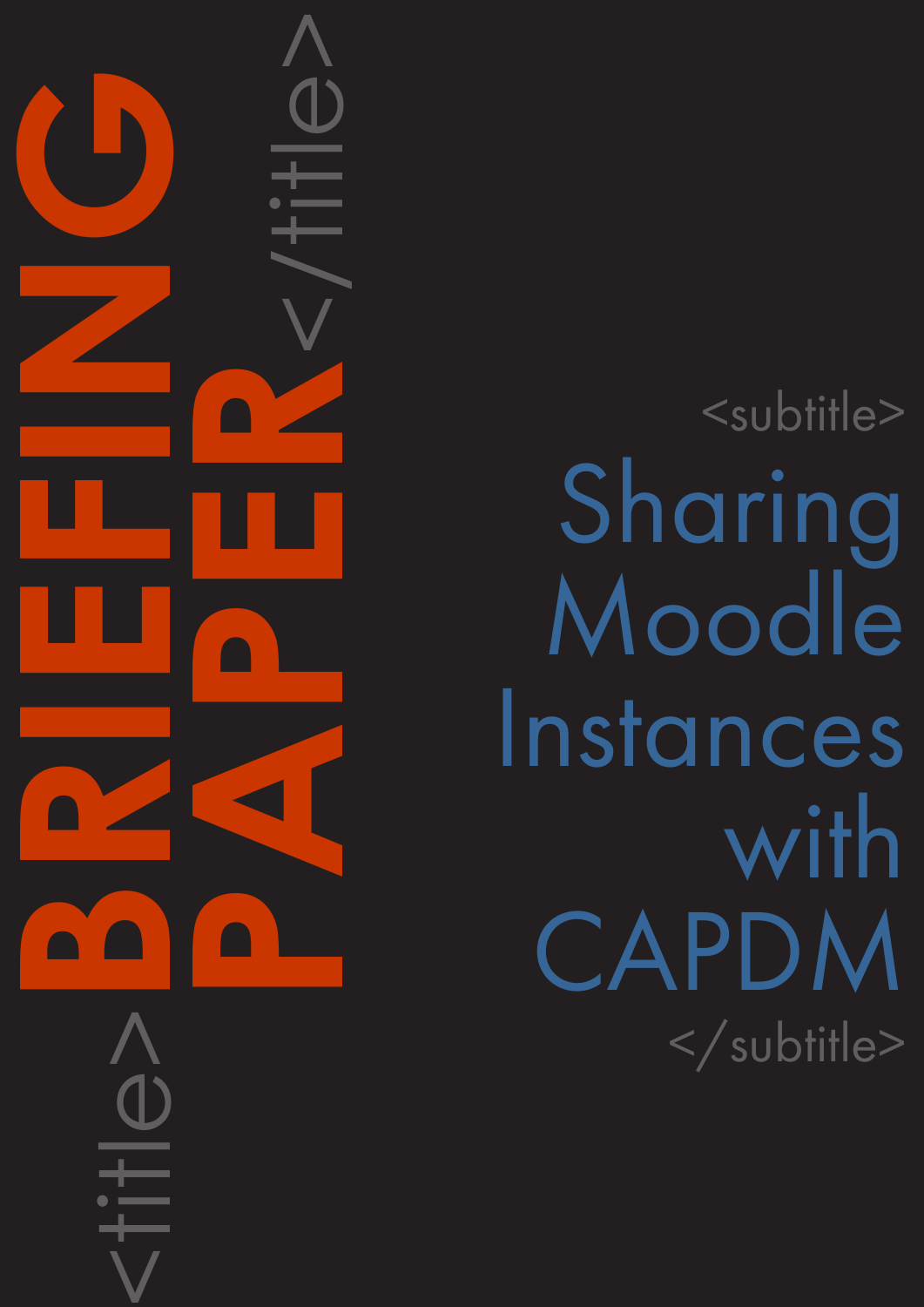<subtitle> Sharing Moodle Instances with CAPDM </subtitle>

<title>**BRIEFING**

**PAPER**<br>CONSTRAINS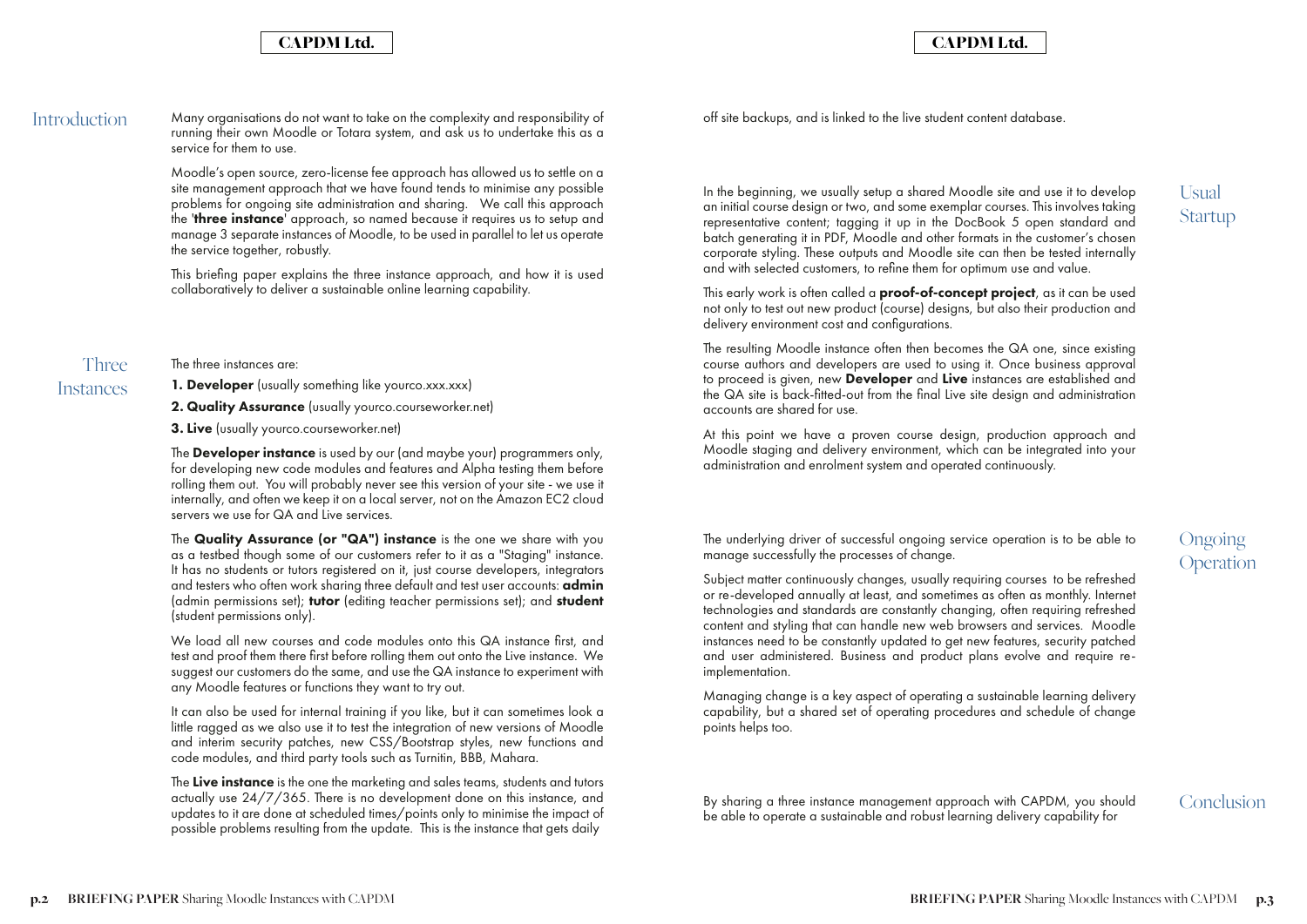## CAPDM Ltd. CAPDM Ltd.

Introduction Many organisations do not want to take on the complexity and responsibility of running their own Moodle or Totara system, and ask us to undertake this as a service for them to use.

> Moodle's open source, zero-license fee approach has allowed us to settle on a site management approach that we have found tends to minimise any possible problems for ongoing site administration and sharing. We call this approach the 'three instance' approach, so named because it requires us to setup and manage 3 separate instances of Moodle, to be used in parallel to let us operate the service together, robustly.

> The **Developer instance** is used by our (and maybe your) programmers only, for developing new code modules and features and Alpha testing them before rolling them out. You will probably never see this version of your site - we use it internally, and often we keep it on a local server, not on the Amazon EC2 cloud servers we use for QA and Live services.

> This briefing paper explains the three instance approach, and how it is used collaboratively to deliver a sustainable online learning capability.

The three instances are:

**1. Developer** (usually something like yourco.xxx.xxx)

2. Quality Assurance (usually yourco.courseworker.net)

3. Live (usually yourco.courseworker.net)

The Live instance is the one the marketing and sales teams, students and tutors actually use 24/7/365. There is no development done on this instance, and updates to it are done at scheduled times/points only to minimise the impact of possible problems resulting from the update. This is the instance that gets daily

The Quality Assurance (or "QA") instance is the one we share with you as a testbed though some of our customers refer to it as a "Staging" instance. It has no students or tutors registered on it, just course developers, integrators and testers who often work sharing three default and test user accounts: **admin** (admin permissions set); **tutor** (editing teacher permissions set); and **student** (student permissions only).

This early work is often called a **proof-of-concept project**, as it can be used not only to test out new product (course) designs, but also their production and delivery environment cost and configurations.

We load all new courses and code modules onto this QA instance first, and test and proof them there first before rolling them out onto the Live instance. We suggest our customers do the same, and use the QA instance to experiment with any Moodle features or functions they want to try out.

It can also be used for internal training if you like, but it can sometimes look a little ragged as we also use it to test the integration of new versions of Moodle and interim security patches, new CSS/Bootstrap styles, new functions and code modules, and third party tools such as Turnitin, BBB, Mahara.

Three **Instances** 

> **Ongoing** Operation

Usual Startup

off site backups, and is linked to the live student content database.

In the beginning, we usually setup a shared Moodle site and use it to develop an initial course design or two, and some exemplar courses. This involves taking representative content; tagging it up in the DocBook 5 open standard and batch generating it in PDF, Moodle and other formats in the customer's chosen corporate styling. These outputs and Moodle site can then be tested internally and with selected customers, to refine them for optimum use and value.

The resulting Moodle instance often then becomes the QA one, since existing course authors and developers are used to using it. Once business approval to proceed is given, new **Developer** and Live instances are established and the QA site is back-fitted-out from the final Live site design and administration accounts are shared for use.

At this point we have a proven course design, production approach and Moodle staging and delivery environment, which can be integrated into your administration and enrolment system and operated continuously.

The underlying driver of successful ongoing service operation is to be able to manage successfully the processes of change.

Subject matter continuously changes, usually requiring courses to be refreshed or re-developed annually at least, and sometimes as often as monthly. Internet technologies and standards are constantly changing, often requiring refreshed content and styling that can handle new web browsers and services. Moodle instances need to be constantly updated to get new features, security patched and user administered. Business and product plans evolve and require reimplementation.

Managing change is a key aspect of operating a sustainable learning delivery capability, but a shared set of operating procedures and schedule of change points helps too.

By sharing a three instance management approach with CAPDM, you should be able to operate a sustainable and robust learning delivery capability for

Conclusion